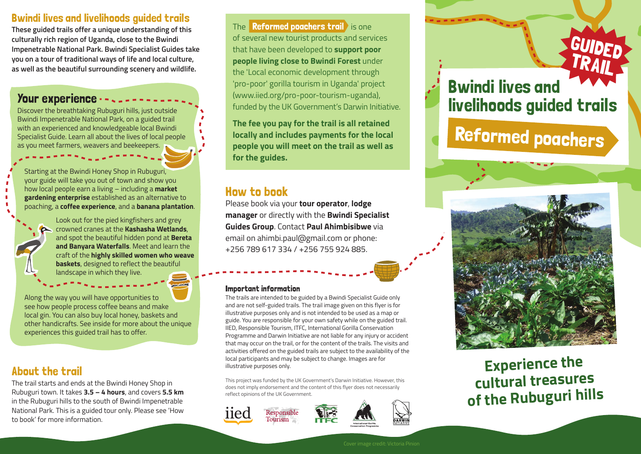### Bwindi lives and livelihoods guided trails

**These guided trails offer a unique understanding of this culturally rich region of Uganda, close to the Bwindi Impenetrable National Park. Bwindi Specialist Guides take you on a tour of traditional ways of life and local culture, as well as the beautiful surrounding scenery and wildlife.**

## Your experience -

Discover the breathtaking Rubuguri hills, just outside Bwindi Impenetrable National Park, on a guided trail with an experienced and knowledgeable local Bwindi Specialist Guide. Learn all about the lives of local people as you meet farmers, weavers and beekeepers.

Starting at the Bwindi Honey Shop in Rubuguri, your guide will take you out of town and show you how local people earn a living – including a **market gardening enterprise** established as an alternative to poaching, a **coffee experience**, and a **banana plantation**.



Look out for the pied kingfishers and grey crowned cranes at the **Kashasha Wetlands**, and spot the beautiful hidden pond at **Bereta and Banyara Waterfalls**. Meet and learn the craft of the **highly skilled women who weave baskets**, designed to reflect the beautiful landscape in which they live.

Along the way you will have opportunities to see how people process coffee beans and make local gin. You can also buy local honey, baskets and other handicrafts. See inside for more about the unique experiences this guided trail has to offer.

# About the trail

The trail starts and ends at the Bwindi Honey Shop in Rubuguri town. It takes **3.5 – 4 hours**, and covers **5.5 km** in the Rubuguri hills to the south of Bwindi Impenetrable National Park. This is a guided tour only. Please see 'How to book' for more information.

The **Reformed poachers trail** is one of several new tourist products and services that have been developed to **support poor people living close to Bwindi Forest** under the 'Local economic development through 'pro-poor' gorilla tourism in Uganda' project (www.iied.org/pro-poor-tourism-uganda), funded by the UK Government's Darwin Initiative.

**The fee you pay for the trail is all retained locally and includes payments for the local people you will meet on the trail as well as for the guides.**

# How to book

Please book via your **tour operator**, **lodge manager** or directly with the **Bwindi Specialist Guides Group**. Contact **Paul Ahimbisibwe** via email on ahimbi.paul@gmail.com or phone: +256 789 617 334 / +256 755 924 885.

#### Important information

The trails are intended to be guided by a Bwindi Specialist Guide only and are not self-guided trails. The trail image given on this flyer is for illustrative purposes only and is not intended to be used as a map or guide. You are responsible for your own safety while on the guided trail. IIED, Responsible Tourism, ITFC, International Gorilla Conservation Programme and Darwin Initiative are not liable for any injury or accident that may occur on the trail, or for the content of the trails. The visits and activities offered on the guided trails are subject to the availability of the local participants and may be subject to change. Images are for illustrative purposes only.

This project was funded by the UK Government's Darwin Initiative. However, this does not imply endorsement and the content of this flyer does not necessarily reflect opinions of the UK Government.





Bwindi lives and livelihoods guided trails

GUIDED

TRAIL

# Reformed poachers



**Experience the cultural treasures of the Rubuguri hills**